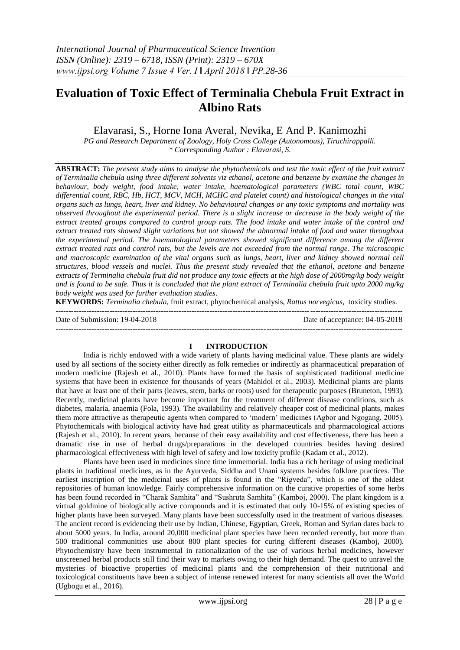# **Evaluation of Toxic Effect of Terminalia Chebula Fruit Extract in Albino Rats**

Elavarasi, S., Horne Iona Averal, Nevika, E And P. Kanimozhi

*PG and Research Department of Zoology, Holy Cross College (Autonomous), Tiruchirappalli. \* Corresponding Author : Elavarasi, S.*

**ABSTRACT:** *The present study aims to analyse the phytochemicals and test the toxic effect of the fruit extract of Terminalia chebula using three different solvents viz ethanol, acetone and benzene by examine the changes in behaviour, body weight, food intake, water intake, haematological parameters (WBC total count, WBC differential count, RBC, Hb, HCT, MCV, MCH, MCHC and platelet count) and histological changes in the vital organs such as lungs, heart, liver and kidney. No behavioural changes or any toxic symptoms and mortality was observed throughout the experimental period. There is a slight increase or decrease in the body weight of the extract treated groups compared to control group rats. The food intake and water intake of the control and extract treated rats showed slight variations but not showed the abnormal intake of food and water throughout the experimental period. The haematological parameters showed significant difference among the different extract treated rats and control rats, but the levels are not exceeded from the normal range. The microscopic and macroscopic examination of the vital organs such as lungs, heart, liver and kidney showed normal cell structures, blood vessels and nuclei. Thus the present study revealed that the ethanol, acetone and benzene extracts of Terminalia chebula fruit did not produce any toxic effects at the high dose of 2000mg/kg body weight and is found to be safe. Thus it is concluded that the plant extract of Terminalia chebula fruit upto 2000 mg/kg body weight was used for further evaluation studies*.

**KEYWORDS:** *Terminalia chebula,* fruit extract, phytochemical analysis, *Rattus norvegicus,* toxicity studies.

Date of Submission: 19-04-2018 Date of acceptance: 04-05-2018 **---------------------------------------------------------------------------------------------------------------------------------------**

**---------------------------------------------------------------------------------------------------------------------------------------**

## **I INTRODUCTION**

India is richly endowed with a wide variety of plants having medicinal value. These plants are widely used by all sections of the society either directly as folk remedies or indirectly as pharmaceutical preparation of modern medicine (Rajesh et al., 2010). Plants have formed the basis of sophisticated traditional medicine systems that have been in existence for thousands of years (Mahidol et al., 2003). Medicinal plants are plants that have at least one of their parts (leaves, stem, barks or roots) used for therapeutic purposes (Bruneton, 1993). Recently, medicinal plants have become important for the treatment of different disease conditions, such as diabetes, malaria, anaemia (Fola, 1993). The availability and relatively cheaper cost of medicinal plants, makes them more attractive as therapeutic agents when compared to "modern" medicines (Agbor and Ngogang, 2005). Phytochemicals with biological activity have had great utility as pharmaceuticals and pharmacological actions (Rajesh et al., 2010). In recent years, because of their easy availability and cost effectiveness, there has been a dramatic rise in use of herbal drugs/preparations in the developed countries besides having desired pharmacological effectiveness with high level of safety and low toxicity profile (Kadam et al., 2012).

Plants have been used in medicines since time immemorial. India has a rich heritage of using medicinal plants in traditional medicines, as in the Ayurveda, Siddha and Unani systems besides folklore practices. The earliest inscription of the medicinal uses of plants is found in the "Rigveda", which is one of the oldest repositories of human knowledge. Fairly comprehensive information on the curative properties of some herbs has been found recorded in "Charak Samhita" and "Sushruta Samhita" (Kamboj, 2000). The plant kingdom is a virtual goldmine of biologically active compounds and it is estimated that only 10-15% of existing species of higher plants have been surveyed. Many plants have been successfully used in the treatment of various diseases. The ancient record is evidencing their use by Indian, Chinese, Egyptian, Greek, Roman and Syrian dates back to about 5000 years. In India, around 20,000 medicinal plant species have been recorded recently, but more than 500 traditional communities use about 800 plant species for curing different diseases (Kamboj, 2000). Phytochemistry have been instrumental in rationalization of the use of various herbal medicines, however unscreened herbal products still find their way to markets owing to their high demand. The quest to unravel the mysteries of bioactive properties of medicinal plants and the comprehension of their nutritional and toxicological constituents have been a subject of intense renewed interest for many scientists all over the World (Ugbogu et al., 2016).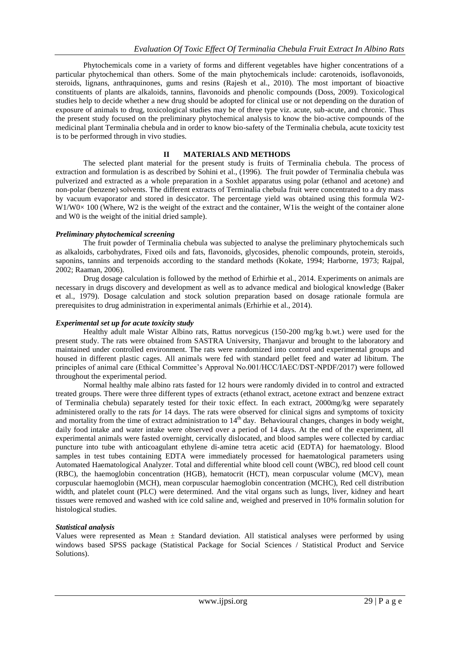Phytochemicals come in a variety of forms and different vegetables have higher concentrations of a particular phytochemical than others. Some of the main phytochemicals include: carotenoids, isoflavonoids, steroids, lignans, anthraquinones, gums and resins (Rajesh et al., 2010). The most important of bioactive constituents of plants are alkaloids, tannins, flavonoids and phenolic compounds (Doss, 2009). Toxicological studies help to decide whether a new drug should be adopted for clinical use or not depending on the duration of exposure of animals to drug, toxicological studies may be of three type viz. acute, sub-acute, and chronic. Thus the present study focused on the preliminary phytochemical analysis to know the bio-active compounds of the medicinal plant Terminalia chebula and in order to know bio-safety of the Terminalia chebula, acute toxicity test is to be performed through in vivo studies.

## **II MATERIALS AND METHODS**

The selected plant material for the present study is fruits of Terminalia chebula. The process of extraction and formulation is as described by Sohini et al., (1996). The fruit powder of Terminalia chebula was pulverized and extracted as a whole preparation in a Soxhlet apparatus using polar (ethanol and acetone) and non-polar (benzene) solvents. The different extracts of Terminalia chebula fruit were concentrated to a dry mass by vacuum evaporator and stored in desiccator. The percentage yield was obtained using this formula W2-  $W1/W0\times 100$  (Where, W2 is the weight of the extract and the container, W1 is the weight of the container alone and W0 is the weight of the initial dried sample).

## *Preliminary phytochemical screening*

The fruit powder of Terminalia chebula was subjected to analyse the preliminary phytochemicals such as alkaloids, carbohydrates, Fixed oils and fats, flavonoids, glycosides, phenolic compounds, protein, steroids, saponins, tannins and terpenoids according to the standard methods (Kokate, 1994; Harborne, 1973; Rajpal, 2002; Raaman, 2006).

Drug dosage calculation is followed by the method of Erhirhie et al., 2014. Experiments on animals are necessary in drugs discovery and development as well as to advance medical and biological knowledge (Baker et al., 1979). Dosage calculation and stock solution preparation based on dosage rationale formula are prerequisites to drug administration in experimental animals (Erhirhie et al., 2014).

## *Experimental set up for acute toxicity study*

Healthy adult male Wistar Albino rats, Rattus norvegicus (150-200 mg/kg b.wt.) were used for the present study. The rats were obtained from SASTRA University, Thanjavur and brought to the laboratory and maintained under controlled environment. The rats were randomized into control and experimental groups and housed in different plastic cages. All animals were fed with standard pellet feed and water ad libitum. The principles of animal care (Ethical Committee's Approval No.001/HCC/IAEC/DST-NPDF/2017) were followed throughout the experimental period.

Normal healthy male albino rats fasted for 12 hours were randomly divided in to control and extracted treated groups. There were three different types of extracts (ethanol extract, acetone extract and benzene extract of Terminalia chebula) separately tested for their toxic effect. In each extract, 2000mg/kg were separately administered orally to the rats *for* 14 days. The rats were observed for clinical signs and symptoms of toxicity and mortality from the time of extract administration to  $14<sup>th</sup>$  day. Behavioural changes, changes in body weight, daily food intake and water intake were observed over a period of 14 days. At the end of the experiment, all experimental animals were fasted overnight, cervically dislocated, and blood samples were collected by cardiac puncture into tube with anticoagulant ethylene di-amine tetra acetic acid (EDTA) for haematology. Blood samples in test tubes containing EDTA were immediately processed for haematological parameters using Automated Haematological Analyzer. Total and differential white blood cell count (WBC), red blood cell count (RBC), the haemoglobin concentration (HGB), hematocrit (HCT), mean corpuscular volume (MCV), mean corpuscular haemoglobin (MCH), mean corpuscular haemoglobin concentration (MCHC), Red cell distribution width, and platelet count (PLC) were determined. And the vital organs such as lungs, liver, kidney and heart tissues were removed and washed with ice cold saline and, weighed and preserved in 10% formalin solution for histological studies.

## *Statistical analysis*

Values were represented as Mean  $\pm$  Standard deviation. All statistical analyses were performed by using windows based SPSS package (Statistical Package for Social Sciences / Statistical Product and Service Solutions).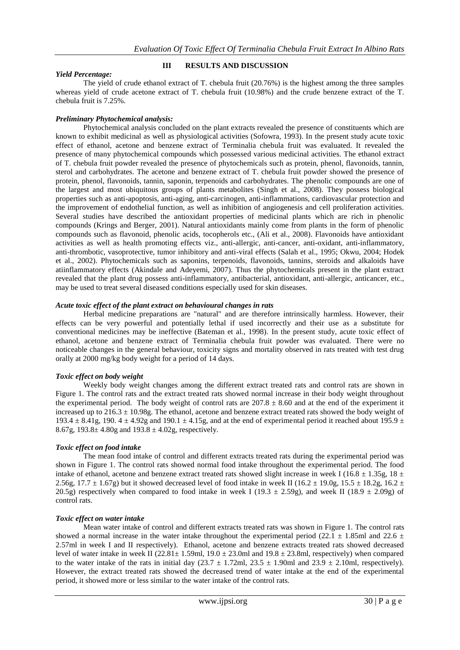# *Yield Percentage:*

# **III RESULTS AND DISCUSSION**

The yield of crude ethanol extract of T. chebula fruit (20.76%) is the highest among the three samples whereas yield of crude acetone extract of T. chebula fruit (10.98%) and the crude benzene extract of the T. chebula fruit is 7.25%.

# *Preliminary Phytochemical analysis:*

Phytochemical analysis concluded on the plant extracts revealed the presence of constituents which are known to exhibit medicinal as well as physiological activities (Sofowra, 1993). In the present study acute toxic effect of ethanol, acetone and benzene extract of Terminalia chebula fruit was evaluated. It revealed the presence of many phytochemical compounds which possessed various medicinal activities. The ethanol extract of T. chebula fruit powder revealed the presence of phytochemicals such as protein, phenol, flavonoids, tannin, sterol and carbohydrates. The acetone and benzene extract of T. chebula fruit powder showed the presence of protein, phenol, flavonoids, tannin, saponin, terpenoids and carbohydrates. The phenolic compounds are one of the largest and most ubiquitous groups of plants metabolites (Singh et al., 2008). They possess biological properties such as anti-apoptosis, anti-aging, anti-carcinogen, anti-inflammations, cardiovascular protection and the improvement of endothelial function, as well as inhibition of angiogenesis and cell proliferation activities. Several studies have described the antioxidant properties of medicinal plants which are rich in phenolic compounds (Krings and Berger, 2001). Natural antioxidants mainly come from plants in the form of phenolic compounds such as flavonoid, phenolic acids, tocopherols etc., (Ali et al., 2008). Flavonoids have antioxidant activities as well as health promoting effects viz., anti-allergic, anti-cancer, anti-oxidant, anti-inflammatory, anti-thrombotic, vasoprotective, tumor inhibitory and anti-viral effects (Salah et al., 1995; Okwu, 2004; Hodek et al., 2002). Phytochemicals such as saponins, terpenoids, flavonoids, tannins, steroids and alkaloids have atiinflammatory effects (Akindale and Adeyemi, 2007). Thus the phytochemicals present in the plant extract revealed that the plant drug possess anti-inflammatory, antibacterial, antioxidant, anti-allergic, anticancer, etc., may be used to treat several diseased conditions especially used for skin diseases.

## *Acute toxic effect of the plant extract on behavioural changes in rats*

Herbal medicine preparations are "natural" and are therefore intrinsically harmless. However, their effects can be very powerful and potentially lethal if used incorrectly and their use as a substitute for conventional medicines may be ineffective (Bateman et al., 1998). In the present study, acute toxic effect of ethanol, acetone and benzene extract of Terminalia chebula fruit powder was evaluated. There were no noticeable changes in the general behaviour, toxicity signs and mortality observed in rats treated with test drug orally at 2000 mg/kg body weight for a period of 14 days.

# *Toxic effect on body weight*

Weekly body weight changes among the different extract treated rats and control rats are shown in Figure 1. The control rats and the extract treated rats showed normal increase in their body weight throughout the experimental period. The body weight of control rats are  $207.8 \pm 8.60$  and at the end of the experiment it increased up to  $216.3 \pm 10.98$ g. The ethanol, acetone and benzene extract treated rats showed the body weight of 193.4  $\pm$  8.41g, 190. 4  $\pm$  4.92g and 190.1  $\pm$  4.15g, and at the end of experimental period it reached about 195.9  $\pm$ 8.67g,  $193.8 \pm 4.80$ g and  $193.8 \pm 4.02$ g, respectively.

# *Toxic effect on food intake*

The mean food intake of control and different extracts treated rats during the experimental period was shown in Figure 1. The control rats showed normal food intake throughout the experimental period. The food intake of ethanol, acetone and benzene extract treated rats showed slight increase in week I (16.8  $\pm$  1.35g, 18  $\pm$ 2.56g, 17.7  $\pm$  1.67g) but it showed decreased level of food intake in week II (16.2  $\pm$  19.0g, 15.5  $\pm$  18.2g, 16.2  $\pm$ 20.5g) respectively when compared to food intake in week I (19.3  $\pm$  2.59g), and week II (18.9  $\pm$  2.09g) of control rats.

## *Toxic effect on water intake*

Mean water intake of control and different extracts treated rats was shown in Figure 1. The control rats showed a normal increase in the water intake throughout the experimental period (22.1  $\pm$  1.85ml and 22.6  $\pm$ 2.57ml in week I and II respectively). Ethanol, acetone and benzene extracts treated rats showed decreased level of water intake in week II (22.81 $\pm$  1.59ml, 19.0  $\pm$  23.0ml and 19.8  $\pm$  23.8ml, respectively) when compared to the water intake of the rats in initial day (23.7  $\pm$  1.72ml, 23.5  $\pm$  1.90ml and 23.9  $\pm$  2.10ml, respectively). However, the extract treated rats showed the decreased trend of water intake at the end of the experimental period, it showed more or less similar to the water intake of the control rats.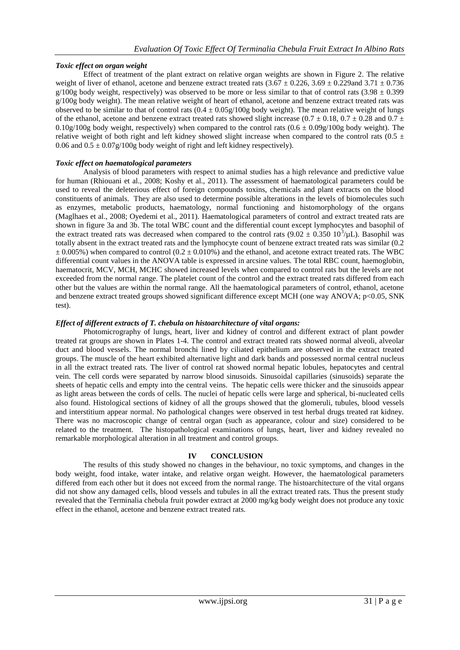# *Toxic effect on organ weight*

Effect of treatment of the plant extract on relative organ weights are shown in Figure 2. The relative weight of liver of ethanol, acetone and benzene extract treated rats  $(3.67 \pm 0.226, 3.69 \pm 0.229$  and  $3.71 \pm 0.736$  $g/100g$  body weight, respectively) was observed to be more or less similar to that of control rats (3.98  $\pm$  0.399 g/100g body weight). The mean relative weight of heart of ethanol, acetone and benzene extract treated rats was observed to be similar to that of control rats  $(0.4 \pm 0.05g/100g)$  body weight). The mean relative weight of lungs of the ethanol, acetone and benzene extract treated rats showed slight increase (0.7  $\pm$  0.18, 0.7  $\pm$  0.28 and 0.7  $\pm$ 0.10g/100g body weight, respectively) when compared to the control rats  $(0.6 \pm 0.09g/100g$  body weight). The relative weight of both right and left kidney showed slight increase when compared to the control rats (0.5  $\pm$ 0.06 and  $0.5 \pm 0.07$  g/100g body weight of right and left kidney respectively).

## *Toxic effect on haematological parameters*

Analysis of blood parameters with respect to animal studies has a high relevance and predictive value for human (Rhiouani et al., 2008; Koshy et al., 2011). The assessment of haematological parameters could be used to reveal the deleterious effect of foreign compounds toxins, chemicals and plant extracts on the blood constituents of animals. They are also used to determine possible alterations in the levels of biomolecules such as enzymes, metabolic products, haematology, normal functioning and histomorphology of the organs (Maglhaes et al., 2008; Oyedemi et al., 2011). Haematological parameters of control and extract treated rats are shown in figure 3a and 3b. The total WBC count and the differential count except lymphocytes and basophil of the extract treated rats was decreased when compared to the control rats  $(9.02 \pm 0.350 \frac{10^3}{\mu}L)$ . Basophil was totally absent in the extract treated rats and the lymphocyte count of benzene extract treated rats was similar (0.2  $\pm$  0.005%) when compared to control (0.2  $\pm$  0.010%) and the ethanol, and acetone extract treated rats. The WBC differential count values in the ANOVA table is expressed in arcsine values. The total RBC count, haemoglobin, haematocrit, MCV, MCH, MCHC showed increased levels when compared to control rats but the levels are not exceeded from the normal range. The platelet count of the control and the extract treated rats differed from each other but the values are within the normal range. All the haematological parameters of control, ethanol, acetone and benzene extract treated groups showed significant difference except MCH (one way ANOVA; p<0.05, SNK test).

# *Effect of different extracts of T. chebula on histoarchitecture of vital organs:*

Photomicrography of lungs, heart, liver and kidney of control and different extract of plant powder treated rat groups are shown in Plates 1-4. The control and extract treated rats showed normal alveoli, alveolar duct and blood vessels. The normal bronchi lined by ciliated epithelium are observed in the extract treated groups. The muscle of the heart exhibited alternative light and dark bands and possessed normal central nucleus in all the extract treated rats. The liver of control rat showed normal hepatic lobules, hepatocytes and central vein. The cell cords were separated by narrow blood sinusoids. Sinusoidal capillaries (sinusoids) separate the sheets of hepatic cells and empty into the central veins. The hepatic cells were thicker and the sinusoids appear as light areas between the cords of cells. The nuclei of hepatic cells were large and spherical, bi-nucleated cells also found. Histological sections of kidney of all the groups showed that the glomeruli, tubules, blood vessels and interstitium appear normal. No pathological changes were observed in test herbal drugs treated rat kidney. There was no macroscopic change of central organ (such as appearance, colour and size) considered to be related to the treatment. The histopathological examinations of lungs, heart, liver and kidney revealed no remarkable morphological alteration in all treatment and control groups.

## **IV CONCLUSION**

The results of this study showed no changes in the behaviour, no toxic symptoms, and changes in the body weight, food intake, water intake, and relative organ weight. However, the haematological parameters differed from each other but it does not exceed from the normal range. The histoarchitecture of the vital organs did not show any damaged cells, blood vessels and tubules in all the extract treated rats. Thus the present study revealed that the Terminalia chebula fruit powder extract at 2000 mg/kg body weight does not produce any toxic effect in the ethanol, acetone and benzene extract treated rats.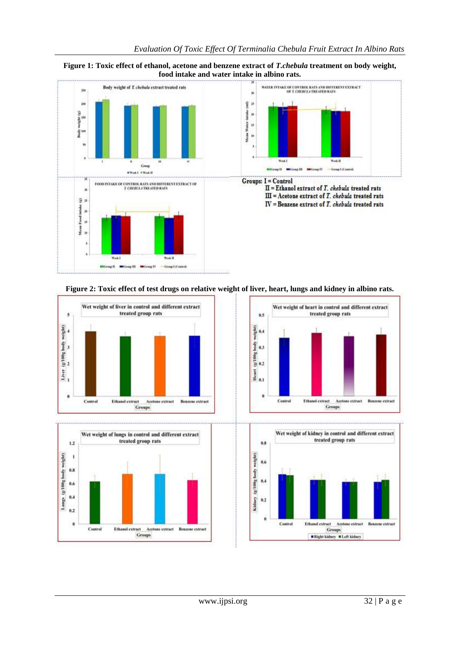











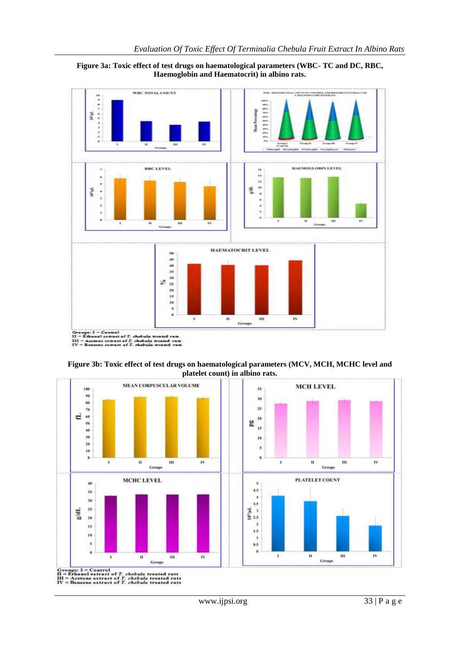







www.ijpsi.org 33 | P a g e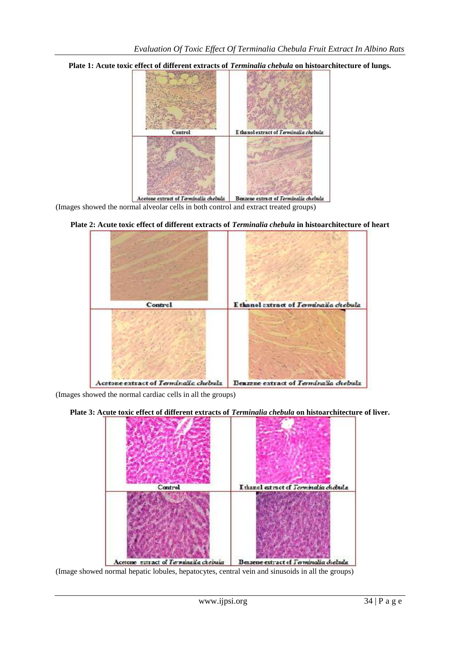**Plate 1: Acute toxic effect of different extracts of** *Terminalia chebula* **on histoarchitecture of lungs.**



(Images showed the normal alveolar cells in both control and extract treated groups)



**Plate 2: Acute toxic effect of different extracts of** *Terminalia chebula* **in histoarchitecture of heart**

(Images showed the normal cardiac cells in all the groups)





(Image showed normal hepatic lobules, hepatocytes, central vein and sinusoids in all the groups)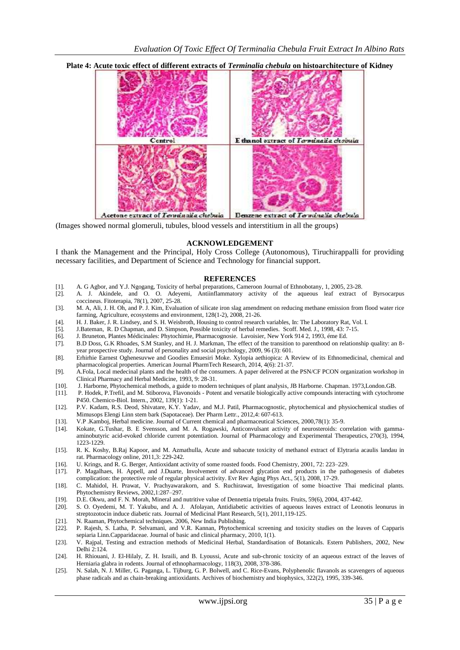



cetone extract of Terminalia chebula Benzene extract of Terminalia chebula

(Images showed normal glomeruli, tubules, blood vessels and interstitium in all the groups)

## **ACKNOWLEDGEMENT**

I thank the Management and the Principal, Holy Cross College (Autonomous), Tiruchirappalli for providing necessary facilities, and Department of Science and Technology for financial support.

#### **REFERENCES**

- [1]. A. G Agbor, and Y.J. Ngogang, Toxicity of herbal preparations, Cameroon Journal of Ethnobotany, 1, 2005, 23-28.
- [2]. A. J. Akindele, and O. O. Adeyemi, Antiinflammatory activity of the aqueous leaf extract of Byrsocarpus coccineus. Fitoterapia, 78(1), 2007, 25-28.
- [3]. M. A, Ali, J. H. Oh, and P. J. Kim, Evaluation of silicate iron slag amendment on reducing methane emission from flood water rice farming, Agriculture, ecosystems and environment, 128(1-2), 2008, 21-26.
- [4]. H. J. Baker, J. R. Lindsey, and S. H. Weisbroth, Housing to control research variables, In: The Laboratory Rat, Vol. I.
- [5]. J.Bateman, R. D Chapman, and D. Simpson, Possible toxicity of herbal remedies. Scoff. Med. J., 1998, 43: 7-15.
- [6]. J. Bruneton, Plantes Médicinales: Phytochimie, Pharmacognosie. Lavoisier, New York 914 2, 1993, éme Ed.
- [7]. B.D Doss, G.K Rhoades, S.M Stanley, and H. J. Markman, The effect of the transition to parenthood on relationship quality: an 8 year prospective study. Journal of personality and social psychology, 2009, 96 (3): 601.
- [8]. Erhirhie Earnest Oghenesuvwe and Goodies Emuesiri Moke. Xylopia aethiopica: A Review of its Ethnomedicinal, chemical and pharmacological properties. American Journal PharmTech Research, 2014, 4(6): 21-37.
- [9]. A.Fola, Local medecinal plants and the health of the consumers. A paper delivered at the PSN/CF PCON organization workshop in Clinical Pharmacy and Herbal Medicine, 1993, 9: 28-31.
- [10]. J. Harborne, Phytochemical methods, a guide to modern techniques of plant analysis, JB Harborne. Chapman. 1973,London.GB.
- [11]. P. Hodek, P.Trefil, and M. Stiborova, Flavonoids Potent and versatile biologically active compounds interacting with cytochrome P450. Chemico-Biol. Intern., 2002, 139(1): 1-21.
- [12]. P.V. Kadam, R.S. Deod, Shivatare, K.Y. Yadav, and M.J. Patil, Pharmacognostic, phytochemical and physiochemical studies of Mimusops Elengi Linn stem bark (Sapotaceae). Der Pharm Lettr., 2012,4: 607-613.
- [13]. V.P .Kamboj, Herbal medicine. Journal of Current chemical and pharmaceutical Sciences, 2000,78(1): 35-9.
- Kokate, G.Tushar, B. E Svensson, and M. A. Rogawski, Anticonvulsant activity of neurosteroids: correlation with gammaaminobutyric acid-evoked chloride current potentiation. Journal of Pharmacology and Experimental Therapeutics, 270(3), 1994, 1223-1229.
- [15]. R. K. Koshy, B.Raj Kapoor, and M. Azmathulla, Acute and subacute toxicity of methanol extract of Elytraria acaulis landau in rat. Pharmacology online, 2011,3: 229-242.
- [16]. U. Krings, and R. G. Berger, Antioxidant activity of some roasted foods. Food Chemistry, 2001, 72: 223–229.
- [17]. P. Magalhaes, H. Appell, and J.Duarte, Involvement of advanced glycation end products in the pathogenesis of diabetes complication: the protective role of regular physical activity. Evr Rev Aging Phys Act., 5(1), 2008, 17-29.
- [18]. C. Mahidol, H. Prawat, V. Prachyawarakorn, and S. Ruchirawat, Investigation of some bioactive Thai medicinal plants. Phytochemistry Reviews, 2002,1:287–297.
- [19]. D.E. Okwu, and F. N. Morah, Mineral and nutritive value of Dennettia tripetala fruits. Fruits, 59(6), 2004, 437-442.
- [20]. S. O. Oyedemi, M. T. Yakubu, and A. J. Afolayan, Antidiabetic activities of aqueous leaves extract of Leonotis leonurus in streptozotocin induce diabetic rats. Journal of Medicinal Plant Research, 5(1), 2011,119-125.
- [21]. N. Raaman, Phytochemical techniques. 2006, New India Publishing.
- [22]. P. Rajesh, S. Latha, P. Selvamani, and V.R. Kannan, Phytochemical screening and toxicity studies on the leaves of Capparis sepiaria Linn.Capparidaceae. Journal of basic and clinical pharmacy, 2010, 1(1).
- [23]. V. Rajpal, Testing and extraction methods of Medicinal Herbal, Standardisation of Botanicals. Estern Publishers, 2002, New Delhi 2:124.
- [24]. H. Rhiouani, J. El-Hilaly, Z. H. Israili, and B. Lyoussi, Acute and sub-chronic toxicity of an aqueous extract of the leaves of Herniaria glabra in rodents. Journal of ethnopharmacology, 118(3), 2008, 378-386.
- [25]. N. Salah, N. J. Miller, G. Paganga, L. Tijburg, G. P. Bolwell, and C. Rice-Evans, Polyphenolic flavanols as scavengers of aqueous phase radicals and as chain-breaking antioxidants. Archives of biochemistry and biophysics, 322(2), 1995, 339-346.